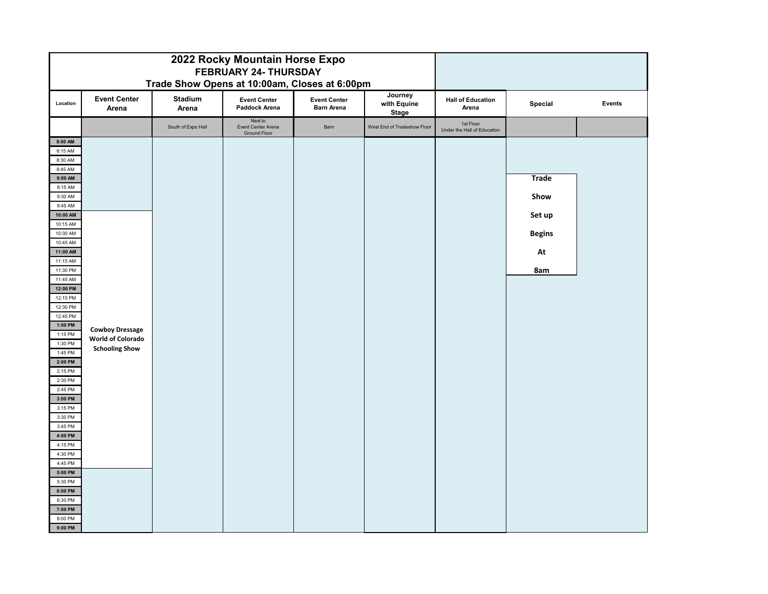| 2022 Rocky Mountain Horse Expo<br>FEBRUARY 24- THURSDAY<br>Trade Show Opens at 10:00am, Closes at 6:00pm |                              |                    |                                                      |                                          |                                        |                                          |               |        |
|----------------------------------------------------------------------------------------------------------|------------------------------|--------------------|------------------------------------------------------|------------------------------------------|----------------------------------------|------------------------------------------|---------------|--------|
| Location                                                                                                 | <b>Event Center</b><br>Arena | Stadium<br>Arena   | <b>Event Center</b><br>Paddock Arena                 | <b>Event Center</b><br><b>Barn Arena</b> | Journey<br>with Equine<br><b>Stage</b> | <b>Hall of Education</b><br>Arena        | Special       | Events |
|                                                                                                          |                              | South of Expo Hall | Next to<br>Event Center Arena<br><b>Ground Floor</b> | Barn                                     | West End of Tradeshow Floor            | 1st Floor<br>Under the Hall of Education |               |        |
| 8:00 AM                                                                                                  |                              |                    |                                                      |                                          |                                        |                                          |               |        |
| 8:15 AM                                                                                                  |                              |                    |                                                      |                                          |                                        |                                          |               |        |
| 8:30 AM                                                                                                  |                              |                    |                                                      |                                          |                                        |                                          |               |        |
| 8:45 AM                                                                                                  |                              |                    |                                                      |                                          |                                        |                                          |               |        |
| 9:00 AM                                                                                                  |                              |                    |                                                      |                                          |                                        |                                          | <b>Trade</b>  |        |
| 9:15 AM                                                                                                  |                              |                    |                                                      |                                          |                                        |                                          |               |        |
| 9:30 AM                                                                                                  |                              |                    |                                                      |                                          |                                        |                                          | Show          |        |
| 9:45 AM<br>10:00 AM                                                                                      |                              |                    |                                                      |                                          |                                        |                                          |               |        |
| 10:15 AM                                                                                                 |                              |                    |                                                      |                                          |                                        |                                          | Set up        |        |
| 10:30 AM                                                                                                 |                              |                    |                                                      |                                          |                                        |                                          | <b>Begins</b> |        |
| 10:45 AM                                                                                                 |                              |                    |                                                      |                                          |                                        |                                          |               |        |
| 11:00 AM                                                                                                 |                              |                    |                                                      |                                          |                                        |                                          | At            |        |
| 11:15 AM                                                                                                 |                              |                    |                                                      |                                          |                                        |                                          |               |        |
| 11:30 PM                                                                                                 |                              |                    |                                                      |                                          |                                        |                                          | 8am           |        |
| 11:45 AM                                                                                                 |                              |                    |                                                      |                                          |                                        |                                          |               |        |
| 12:00 PM                                                                                                 |                              |                    |                                                      |                                          |                                        |                                          |               |        |
| 12:15 PM                                                                                                 |                              |                    |                                                      |                                          |                                        |                                          |               |        |
| 12:30 PM                                                                                                 |                              |                    |                                                      |                                          |                                        |                                          |               |        |
| 12:45 PM                                                                                                 |                              |                    |                                                      |                                          |                                        |                                          |               |        |
| 1:00 PM                                                                                                  | <b>Cowboy Dressage</b>       |                    |                                                      |                                          |                                        |                                          |               |        |
| 1:15 PM<br>1:30 PM                                                                                       | <b>World of Colorado</b>     |                    |                                                      |                                          |                                        |                                          |               |        |
| 1:45 PM                                                                                                  | <b>Schooling Show</b>        |                    |                                                      |                                          |                                        |                                          |               |        |
| 2:00 PM                                                                                                  |                              |                    |                                                      |                                          |                                        |                                          |               |        |
| 2:15 PM                                                                                                  |                              |                    |                                                      |                                          |                                        |                                          |               |        |
| 2:30 PM                                                                                                  |                              |                    |                                                      |                                          |                                        |                                          |               |        |
| 2:45 PM                                                                                                  |                              |                    |                                                      |                                          |                                        |                                          |               |        |
| 3:00 PM                                                                                                  |                              |                    |                                                      |                                          |                                        |                                          |               |        |
| 3:15 PM                                                                                                  |                              |                    |                                                      |                                          |                                        |                                          |               |        |
| 3:30 PM                                                                                                  |                              |                    |                                                      |                                          |                                        |                                          |               |        |
| 3:45 PM                                                                                                  |                              |                    |                                                      |                                          |                                        |                                          |               |        |
| 4:00 PM                                                                                                  |                              |                    |                                                      |                                          |                                        |                                          |               |        |
| 4:15 PM                                                                                                  |                              |                    |                                                      |                                          |                                        |                                          |               |        |
| 4:30 PM                                                                                                  |                              |                    |                                                      |                                          |                                        |                                          |               |        |
| 4:45 PM                                                                                                  |                              |                    |                                                      |                                          |                                        |                                          |               |        |
| 5:00 PM                                                                                                  |                              |                    |                                                      |                                          |                                        |                                          |               |        |
| 5:30 PM<br>6:00 PM                                                                                       |                              |                    |                                                      |                                          |                                        |                                          |               |        |
| 6:30 PM                                                                                                  |                              |                    |                                                      |                                          |                                        |                                          |               |        |
| 7:00 PM                                                                                                  |                              |                    |                                                      |                                          |                                        |                                          |               |        |
| 8:00 PM                                                                                                  |                              |                    |                                                      |                                          |                                        |                                          |               |        |
| 9:00 PM                                                                                                  |                              |                    |                                                      |                                          |                                        |                                          |               |        |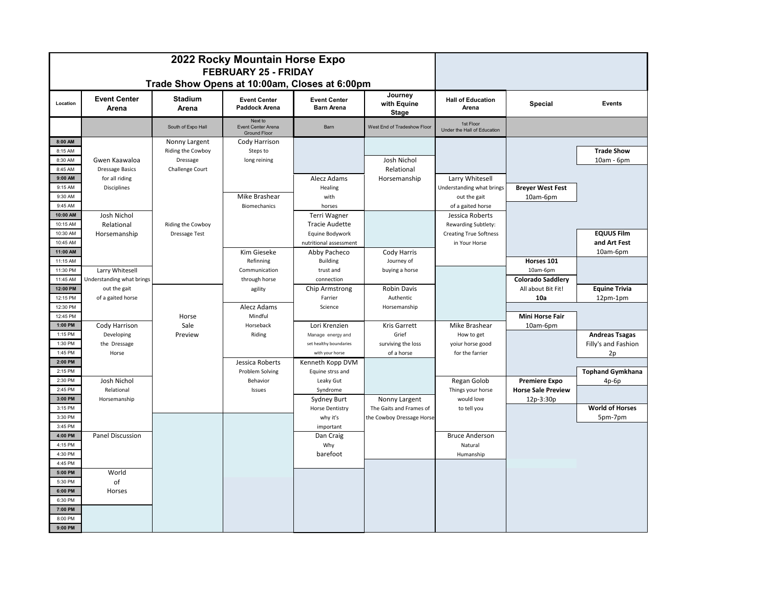| 2022 Rocky Mountain Horse Expo<br><b>FEBRUARY 25 - FRIDAY</b> |                                          |                         |                                                      |                                          |                                 |                                          |                           |                         |
|---------------------------------------------------------------|------------------------------------------|-------------------------|------------------------------------------------------|------------------------------------------|---------------------------------|------------------------------------------|---------------------------|-------------------------|
| Trade Show Opens at 10:00am, Closes at 6:00pm                 |                                          |                         |                                                      |                                          |                                 |                                          |                           |                         |
| Location                                                      | <b>Event Center</b><br>Arena             | <b>Stadium</b><br>Arena | <b>Event Center</b><br>Paddock Arena                 | <b>Event Center</b><br><b>Barn Arena</b> | Journey<br>with Equine<br>Stage | <b>Hall of Education</b><br>Arena        | <b>Special</b>            | Events                  |
|                                                               |                                          | South of Expo Hall      | Next to<br>Event Center Arena<br><b>Ground Floor</b> | Barn                                     | West End of Tradeshow Floor     | 1st Floor<br>Under the Hall of Education |                           |                         |
| 8:00 AM                                                       |                                          | Nonny Largent           | Cody Harrison                                        |                                          |                                 |                                          |                           |                         |
| 8:15 AM                                                       |                                          | Riding the Cowboy       | Steps to                                             |                                          |                                 |                                          |                           | <b>Trade Show</b>       |
| 8:30 AM                                                       | Gwen Kaawaloa                            | Dressage                | long reining                                         |                                          | Josh Nichol                     |                                          |                           | 10am - 6pm              |
| 8:45 AM<br>9:00 AM                                            | <b>Dressage Basics</b><br>for all riding | Challenge Court         |                                                      | Alecz Adams                              | Relational<br>Horsemanship      | Larry Whitesell                          |                           |                         |
| 9:15 AM                                                       | Disciplines                              |                         |                                                      | Healing                                  |                                 | Understanding what brings                | <b>Breyer West Fest</b>   |                         |
| 9:30 AM                                                       |                                          |                         | Mike Brashear                                        | with                                     |                                 | out the gait                             | 10am-6pm                  |                         |
| 9:45 AM                                                       |                                          |                         | Biomechanics                                         | horses                                   |                                 | of a gaited horse                        |                           |                         |
| 10:00 AM                                                      | Josh Nichol                              |                         |                                                      | Terri Wagner                             |                                 | Jessica Roberts                          |                           |                         |
| 10:15 AM                                                      | Relational                               | Riding the Cowboy       |                                                      | <b>Tracie Audette</b>                    |                                 | Rewarding Subtlety:                      |                           |                         |
| 10:30 AM                                                      | Horsemanship                             | <b>Dressage Test</b>    |                                                      | Equine Bodywork                          |                                 | <b>Creating True Softness</b>            |                           | <b>EQUUS Film</b>       |
| 10:45 AM                                                      |                                          |                         |                                                      | nutritional assessment                   |                                 | in Your Horse                            |                           | and Art Fest            |
| 11:00 AM                                                      |                                          |                         | Kim Gieseke                                          | Abby Pacheco                             | Cody Harris                     |                                          |                           | 10am-6pm                |
| 11:15 AM                                                      |                                          |                         | Refinning                                            | <b>Building</b>                          | Journey of                      |                                          | Horses 101                |                         |
| 11:30 PM                                                      | Larry Whitesell                          |                         | Communication                                        | trust and                                | buying a horse                  |                                          | 10am-6pm                  |                         |
| 11:45 AM                                                      | Understanding what brings                |                         | through horse                                        | connection                               |                                 |                                          | <b>Colorado Saddlery</b>  |                         |
| 12:00 PM                                                      | out the gait                             |                         | agility                                              | Chip Armstrong                           | <b>Robin Davis</b>              |                                          | All about Bit Fit!        | <b>Equine Trivia</b>    |
| 12:15 PM<br>12:30 PM                                          | of a gaited horse                        |                         | Alecz Adams                                          | Farrier<br>Science                       | Authentic<br>Horsemanship       |                                          | 10a                       | $12pm-1pm$              |
| 12:45 PM                                                      |                                          | Horse                   | Mindful                                              |                                          |                                 |                                          | <b>Mini Horse Fair</b>    |                         |
| 1:00 PM                                                       | Cody Harrison                            | Sale                    | Horseback                                            | Lori Krenzien                            | Kris Garrett                    | Mike Brashear                            | 10am-6pm                  |                         |
| 1:15 PM                                                       | Developing                               | Preview                 | Riding                                               | Manage energy and                        | Grief                           | How to get                               |                           | <b>Andreas Tsagas</b>   |
| 1:30 PM                                                       | the Dressage                             |                         |                                                      | set healthy boundaries                   | surviving the loss              | yoiur horse good                         |                           | Filly's and Fashion     |
| 1:45 PM                                                       | Horse                                    |                         |                                                      | with your horse                          | of a horse                      | for the farrier                          |                           | 2p                      |
| 2:00 PM                                                       |                                          |                         | Jessica Roberts                                      | Kenneth Kopp DVM                         |                                 |                                          |                           |                         |
| 2:15 PM                                                       |                                          |                         | Problem Solving                                      | Equine strss and                         |                                 |                                          |                           | <b>Tophand Gymkhana</b> |
| 2:30 PM                                                       | Josh Nichol                              |                         | Behavior                                             | Leaky Gut                                |                                 | Regan Golob                              | <b>Premiere Expo</b>      | $4p-6p$                 |
| 2:45 PM                                                       | Relational                               |                         | Issues                                               | Syndrome                                 |                                 | Things your horse                        | <b>Horse Sale Preview</b> |                         |
| 3:00 PM                                                       | Horsemanship                             |                         |                                                      | <b>Sydney Burt</b>                       | Nonny Largent                   | would love                               | 12p-3:30p                 |                         |
| 3:15 PM                                                       |                                          |                         |                                                      | Horse Dentistry                          | The Gaits and Frames of         | to tell you                              |                           | <b>World of Horses</b>  |
| 3:30 PM                                                       |                                          |                         |                                                      | why it's                                 | the Cowboy Dressage Horse       |                                          |                           | 5pm-7pm                 |
| 3:45 PM<br>4:00 PM                                            | Panel Discussion                         |                         |                                                      | important<br>Dan Craig                   |                                 | <b>Bruce Anderson</b>                    |                           |                         |
| 4:15 PM                                                       |                                          |                         |                                                      | Why                                      |                                 | Natural                                  |                           |                         |
| 4:30 PM                                                       |                                          |                         |                                                      | barefoot                                 |                                 | Humanship                                |                           |                         |
| 4:45 PM                                                       |                                          |                         |                                                      |                                          |                                 |                                          |                           |                         |
| 5:00 PM                                                       | World                                    |                         |                                                      |                                          |                                 |                                          |                           |                         |
| 5:30 PM                                                       | of                                       |                         |                                                      |                                          |                                 |                                          |                           |                         |
| 6:00 PM                                                       | Horses                                   |                         |                                                      |                                          |                                 |                                          |                           |                         |
| 6:30 PM                                                       |                                          |                         |                                                      |                                          |                                 |                                          |                           |                         |
| 7:00 PM                                                       |                                          |                         |                                                      |                                          |                                 |                                          |                           |                         |
| 8:00 PM                                                       |                                          |                         |                                                      |                                          |                                 |                                          |                           |                         |
| 9:00 PM                                                       |                                          |                         |                                                      |                                          |                                 |                                          |                           |                         |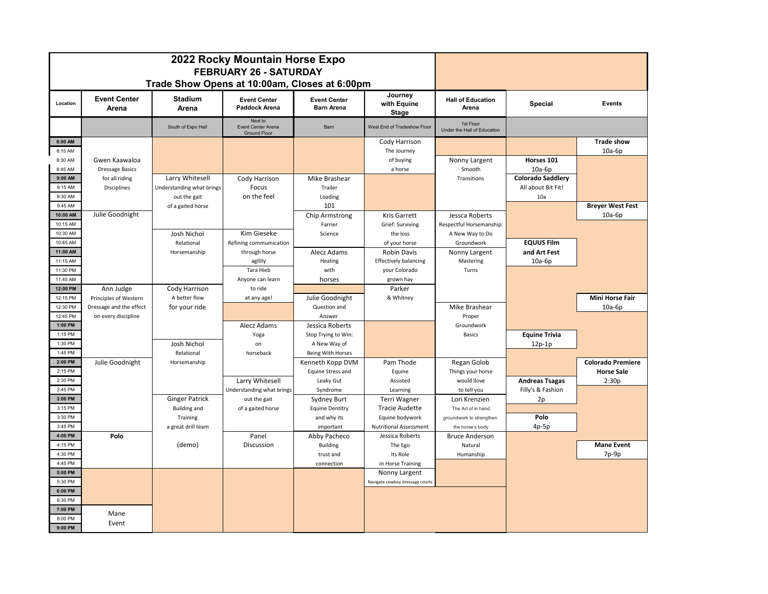| 2022 Rocky Mountain Horse Expo<br><b>FEBRUARY 26 - SATURDAY</b> |                              |                           |                                                      |                                          |                                                  |                                          |                          |                          |
|-----------------------------------------------------------------|------------------------------|---------------------------|------------------------------------------------------|------------------------------------------|--------------------------------------------------|------------------------------------------|--------------------------|--------------------------|
| Trade Show Opens at 10:00am, Closes at 6:00pm                   |                              |                           |                                                      |                                          |                                                  |                                          |                          |                          |
| Location                                                        | <b>Event Center</b><br>Arena | <b>Stadium</b><br>Arena   | <b>Event Center</b><br><b>Paddock Arena</b>          | <b>Event Center</b><br><b>Barn Arena</b> | Journey<br>with Equine<br><b>Stage</b>           | <b>Hall of Education</b><br>Arena        | <b>Special</b>           | Events                   |
|                                                                 |                              | South of Expo Hall        | Next to<br>Event Center Arena<br><b>Ground Floor</b> | Barn                                     | West End of Tradeshow Floor                      | 1st Floor<br>Under the Hall of Education |                          |                          |
| 8:00 AM                                                         |                              |                           |                                                      |                                          | Cody Harrison                                    |                                          |                          | <b>Trade show</b>        |
| 8:15 AM                                                         |                              |                           |                                                      |                                          | The Journey                                      |                                          |                          | $10a-6p$                 |
| 8:30 AM                                                         | Gwen Kaawaloa                |                           |                                                      |                                          | of buying                                        | Nonny Largent                            | Horses 101               |                          |
| 8:45 AM<br>9:00 AM                                              | <b>Dressage Basics</b>       |                           |                                                      |                                          | a horse                                          | Smooth                                   | $10a-6p$                 |                          |
| 9:15 AM                                                         | for all riding               | Larry Whitesell           | Cody Harrison                                        | Mike Brashear                            |                                                  | Transitions                              | <b>Colorado Saddlery</b> |                          |
|                                                                 | <b>Disciplines</b>           | Understanding what brings | Focus                                                | Trailer                                  |                                                  |                                          | All about Bit Fit!       |                          |
| 9:30 AM<br>9:45 AM                                              |                              | out the gait              | on the feel                                          | Loading                                  |                                                  |                                          | 10a                      | <b>Brever West Fest</b>  |
| 10:00 AM                                                        | Julie Goodnight              | of a gaited horse         |                                                      | 101<br>Chip Armstrong                    | Kris Garrett                                     | Jessca Roberts                           |                          | $10a-6p$                 |
| 10:15 AM                                                        |                              |                           |                                                      | Farrier                                  | Grief: Surviving                                 | Respectful Horsemanship:                 |                          |                          |
| 10:30 AM                                                        |                              | Josh Nichol               | Kim Gieseke                                          | Science                                  | the loss                                         | A New Way to Do                          |                          |                          |
| 10:45 AM                                                        |                              | Relational                | Refining commumication                               |                                          | of your horse                                    | Groundwork                               | <b>EQUUS Film</b>        |                          |
| 11:00 AM                                                        |                              | Horsemanship              | through horse                                        | Alecz Adams                              | <b>Robin Davis</b>                               | Nonny Largent                            | and Art Fest             |                          |
| 11:15 AM                                                        |                              |                           | agility                                              | Healing                                  | <b>Effectively balancing</b>                     | Mastering                                | $10a-6p$                 |                          |
| 11:30 PM                                                        |                              |                           | Tara Hieb                                            | with                                     | your Colorado                                    | Turns                                    |                          |                          |
| 11:45 AM                                                        |                              |                           | Anyone can learn                                     | horses                                   | grown hay                                        |                                          |                          |                          |
| 12:00 PM                                                        | Ann Judge                    | Cody Harrison             | to ride                                              |                                          | Parker                                           |                                          |                          |                          |
| 12:15 PM                                                        | Principles of Western        | A better flow             | at any age!                                          | Julie Goodnight                          | & Whitney                                        |                                          |                          | <b>Mini Horse Fair</b>   |
| 12:30 PM                                                        | Dressage and the effect      | for your ride             |                                                      | Question and                             |                                                  | Mike Brashear                            |                          | $10a-6p$                 |
| 12:45 PM                                                        | on every discipline          |                           |                                                      | Answer                                   |                                                  | Proper                                   |                          |                          |
| 1:00 PM                                                         |                              |                           | Alecz Adams                                          | Jessica Roberts                          |                                                  | Groundwork                               |                          |                          |
| 1:15 PM                                                         |                              |                           | Yoga                                                 | Stop Trying to Win:                      |                                                  | <b>Basics</b>                            | <b>Equine Trivia</b>     |                          |
| 1:30 PM                                                         |                              | Josh Nichol               | on                                                   | A New Way of                             |                                                  |                                          | $12p-1p$                 |                          |
| 1:45 PM                                                         |                              | Relational                | horseback                                            | <b>Being With Horses</b>                 |                                                  |                                          |                          |                          |
| 2:00 PM                                                         | Julie Goodnight              | Horsemanship              |                                                      | Kenneth Kopp DVM                         | Pam Thode                                        | Regan Golob                              |                          | <b>Colorado Premiere</b> |
| 2:15 PM                                                         |                              |                           |                                                      | Equine Stress and                        | Equine                                           | Things your horse                        |                          | <b>Horse Sale</b>        |
| 2:30 PM                                                         |                              |                           | Larry Whitesell                                      | Leaky Gut                                | Assisted                                         | would llove                              | <b>Andreas Tsagas</b>    | 2:30p                    |
| 2:45 PM                                                         |                              |                           | Understanding what brings                            | Syndrome                                 | Learning                                         | to tell you                              | Filly's & Fashion        |                          |
| 3:00 PM                                                         |                              | <b>Ginger Patrick</b>     | out the gait                                         | Sydney Burt                              | Terri Wagner                                     | Lori Krenzien                            | 2p                       |                          |
| 3:15 PM                                                         |                              | <b>Building and</b>       | of a gaited horse                                    | <b>Equine Dentitry</b>                   | <b>Tracie Audette</b>                            | The Art of in hand                       |                          |                          |
| 3:30 PM                                                         |                              | Training                  |                                                      | and why its                              | Equine bodywork                                  | groundwork to strengthen                 | Polo                     |                          |
| 3:45 PM                                                         |                              | a great drill team        |                                                      | important                                | <b>Nutritional Assessment</b>                    | the horse's body                         | $4p-5p$                  |                          |
| 4:00 PM                                                         | Polo                         |                           | Panel                                                | Abby Pacheco                             | Jessica Roberts                                  | <b>Bruce Anderson</b>                    |                          |                          |
| 4:15 PM                                                         |                              | (demo)                    | Discussion                                           | <b>Building</b>                          | The Ego                                          | Natural                                  |                          | <b>Mane Event</b>        |
| 4:30 PM                                                         |                              |                           |                                                      | trust and                                | Its Role                                         | Humanship                                |                          | $7p-9p$                  |
| 4:45 PM<br>5:00 PM                                              |                              |                           |                                                      | connection                               | in Horse Training                                |                                          |                          |                          |
| 5:30 PM                                                         |                              |                           |                                                      |                                          | Nonny Largent<br>Navigate cowboy dressage courts |                                          |                          |                          |
| 6:00 PM                                                         |                              |                           |                                                      |                                          |                                                  |                                          |                          |                          |
| 6:30 PM                                                         |                              |                           |                                                      |                                          |                                                  |                                          |                          |                          |
| 7:00 PM                                                         |                              |                           |                                                      |                                          |                                                  |                                          |                          |                          |
| 8:00 PM                                                         | Mane                         |                           |                                                      |                                          |                                                  |                                          |                          |                          |
| 9:00 PM                                                         | Event                        |                           |                                                      |                                          |                                                  |                                          |                          |                          |